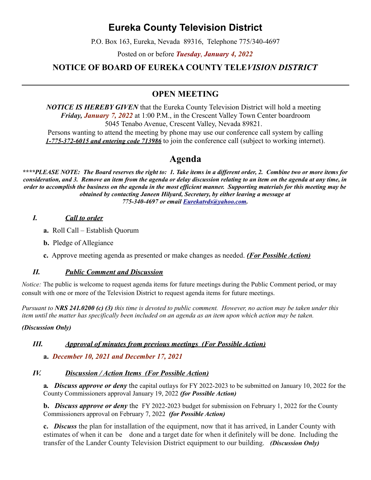# **Eureka County Television District**

P.O. Box 163, Eureka, Nevada 89316, Telephone 775/340-4697

Posted on or before *Tuesday*, *January 4, 2022*

# **NOTICE OF BOARD OF EUREKA COUNTY TELE***VISION DISTRICT*

# **OPEN MEETING**

*NOTICE IS HEREBY GIVEN* that the Eureka County Television District will hold a meeting *Friday, January 7, 2022* at 1:00 P.M., in the Crescent Valley Town Center boardroom 5045 Tenabo Avenue, Crescent Valley, Nevada 89821.

Persons wanting to attend the meeting by phone may use our conference call system by calling *1-775-372-6015 and entering code 713986* to join the conference call (subject to working internet).

# **Agenda**

*\*\*\*\*PLEASE NOTE: The Board reserves the right to: 1. Take items in a different order, 2. Combine two or more items for consideration, and 3. Remove an item from the agenda or delay discussion relating to an item on the agenda at any time, in order to accomplish the business on the agenda in the most efficient manner. Supporting materials for this meeting may be obtained by contacting Janeen Hilyard, Secretary, by either leaving a message at 775-340-4697 or email [Eurekatvds@yahoo.com.](mailto:Eurekatvds@yahoo.com)*

#### *I. Call to order*

- **a.** Roll Call Establish Quorum
- **b.** Pledge of Allegiance
- **c.** Approve meeting agenda as presented or make changes as needed. *(For Possible Action)*

#### *II. Public Comment and Discussion*

*Notice:* The public is welcome to request agenda items for future meetings during the Public Comment period, or may consult with one or more of the Television District to request agenda items for future meetings.

*Pursuant to NRS 241.0200 (c) (3) this time is devoted to public comment. However, no action may be taken under this item until the matter has specifically been included on an agenda as an item upon which action may be taken.* 

#### *(Discussion Only)*

#### *III. Approval of minutes from previous meetings (For Possible Action)*

#### **a.** *December 10, 2021 and December 17, 2021*

#### *IV. Discussion / Action Items (For Possible Action)*

**a***. Discuss approve or deny* the capital outlays for FY 2022-2023 to be submitted on January 10, 2022 for the County Commissioners approval January 19, 2022 *(for Possible Action)*

**b.** *Discuss approve or deny* the FY 2022-2023 budget for submission on February 1, 2022 for the County Commissioners approval on February 7, 2022 *(for Possible Action)*

**c.** *Discuss* the plan for installation of the equipment, now that it has arrived, in Lander County with estimates of when it can be done and a target date for when it definitely will be done. Including the transfer of the Lander County Television District equipment to our building. *(Discussion Only)*